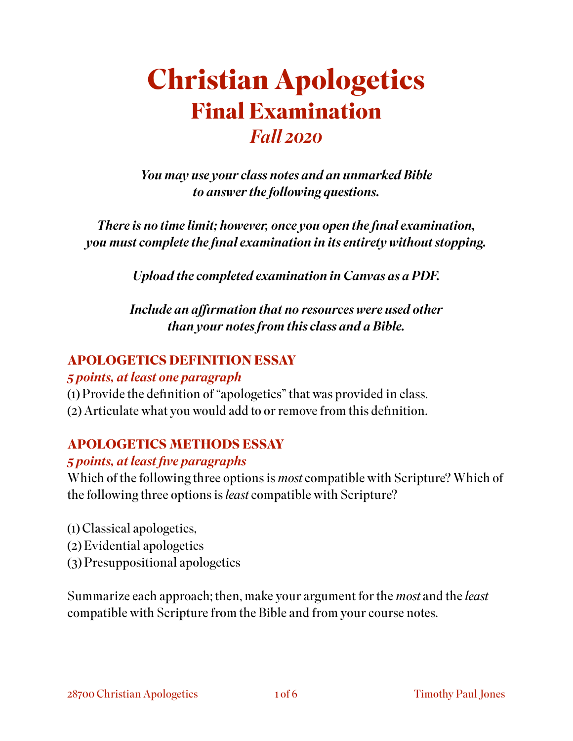# **Christian Apologetics Final Examination**  *Fall 2020*

*You may use your class notes and an unmarked Bible to answer the following questions.* 

*There is no time limit; however, once you open the final examination, you must complete the final examination in its entirety without stopping.* 

*Upload the completed examination in Canvas as a PDF.* 

*Include an affirmation that no resources were used other than your notes from this class and a Bible.* 

#### **APOLOGETICS DEFINITION ESSAY**

#### *5 points, at least one paragraph*

- (1) Provide the definition of "apologetics" that was provided in class.
- (2) Articulate what you would add to or remove from this definition.

### **APOLOGETICS METHODS ESSAY**

#### *5 points, at least five paragraphs*

Which of the following three options is *most* compatible with Scripture? Which of the following three options is *least* compatible with Scripture?

- (1) Classical apologetics,
- (2) Evidential apologetics
- (3) Presuppositional apologetics

Summarize each approach; then, make your argument for the *most* and the *least*  compatible with Scripture from the Bible and from your course notes.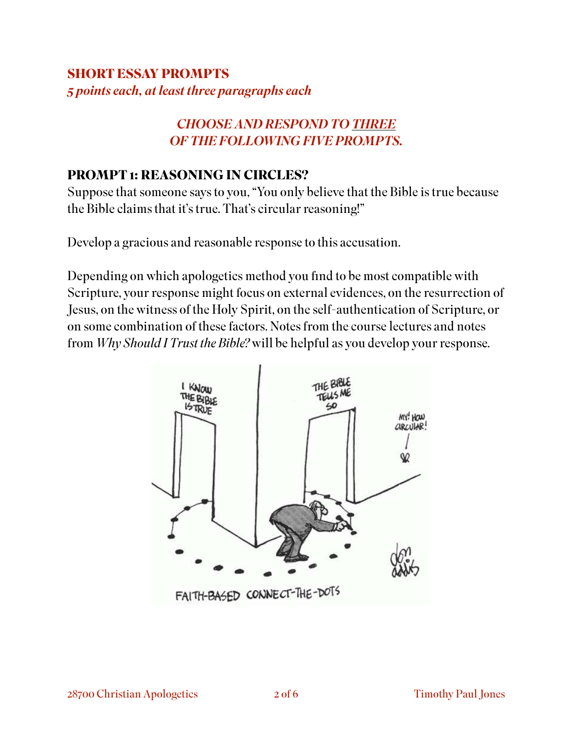### **SHORT ESSAY PROMPTS**  *5 points each, at least three paragraphs each*

#### *CHOOSE AND RESPOND TO THREE OF THE FOLLOWING FIVE PROMPTS.*

#### **PROMPT 1: REASONING IN CIRCLES?**

Suppose that someone says to you, "You only believe that the Bible is true because the Bible claims that it's true. That's circular reasoning!"

Develop a gracious and reasonable response to this accusation.

Depending on which apologetics method you find to be most compatible with Scripture, your response might focus on external evidences, on the resurrection of Jesus, on the witness of the Holy Spirit, on the self-authentication of Scripture, or on some combination of these factors. Notes from the course lectures and notes from *Why Should I Trust the Bible?* will be helpful as you develop your response.

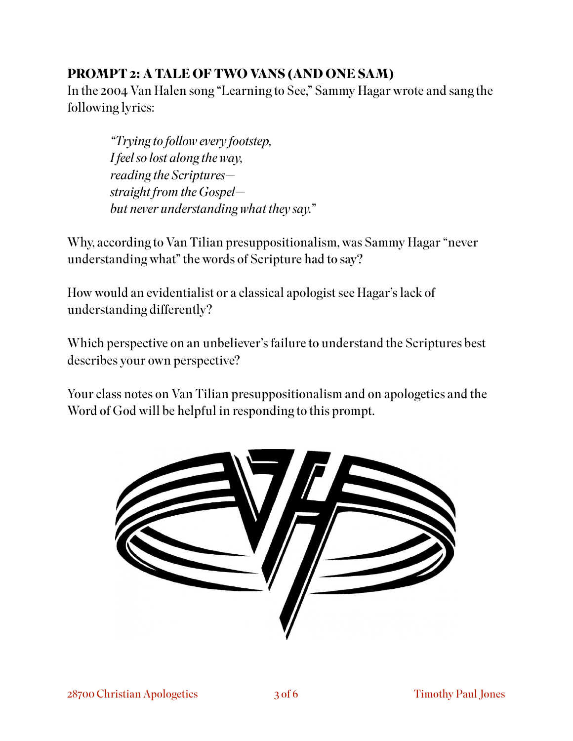### **PROMPT 2: A TALE OF TWO VANS (AND ONE SAM)**

In the 2004 Van Halen song "Learning to See," Sammy Hagar wrote and sang the following lyrics:

*"Trying to follow every footstep, I feel so lost along the way, reading the Scriptures straight from the Gospel but never understanding what they say."* 

Why, according to Van Tilian presuppositionalism, was Sammy Hagar "never understanding what" the words of Scripture had to say?

How would an evidentialist or a classical apologist see Hagar's lack of understanding differently?

Which perspective on an unbeliever's failure to understand the Scriptures best describes your own perspective?

Your class notes on Van Tilian presuppositionalism and on apologetics and the Word of God will be helpful in responding to this prompt.

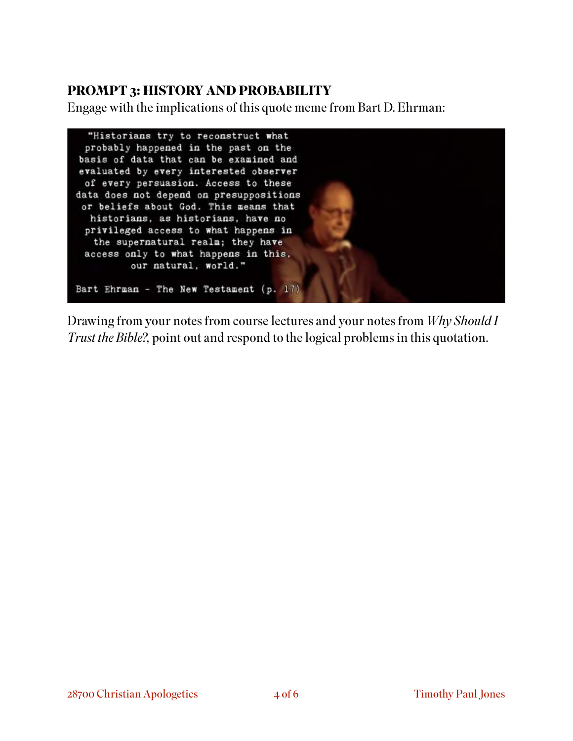#### **PROMPT 3: HISTORY AND PROBABILITY**

Engage with the implications of this quote meme from Bart D. Ehrman:

![](_page_3_Picture_2.jpeg)

Drawing from your notes from course lectures and your notes from *Why Should I Trust the Bible?,* point out and respond to the logical problems in this quotation.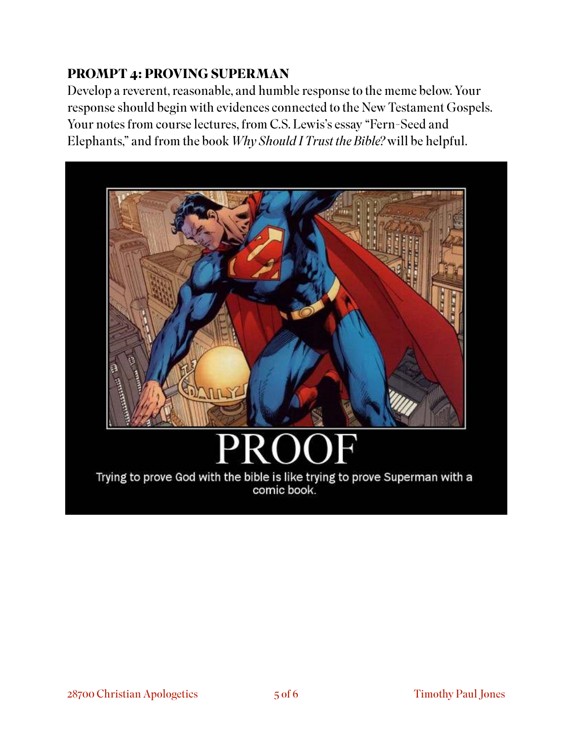# **PROMPT 4: PROVING SUPERMAN**

Develop a reverent, reasonable, and humble response to the meme below. Your response should begin with evidences connected to the New Testament Gospels. Your notes from course lectures, from C.S. Lewis's essay "Fern-Seed and Elephants," and from the book *Why Should I Trust the Bible?* will be helpful.

![](_page_4_Picture_2.jpeg)

Trying to prove God with the bible is like trying to prove Superman with a comic book.